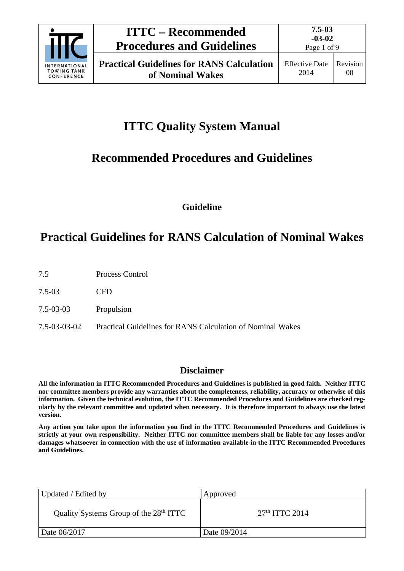

# **ITTC Quality System Manual**

# **Recommended Procedures and Guidelines**

**Guideline**

# **Practical Guidelines for RANS Calculation of Nominal Wakes**

- 7.5 Process Control
- 7.5-03 CFD
- 7.5-03-03 Propulsion
- 7.5-03-03-02 Practical Guidelines for RANS Calculation of Nominal Wakes

# **Disclaimer**

**All the information in ITTC Recommended Procedures and Guidelines is published in good faith. Neither ITTC nor committee members provide any warranties about the completeness, reliability, accuracy or otherwise of this information. Given the technical evolution, the ITTC Recommended Procedures and Guidelines are checked regularly by the relevant committee and updated when necessary. It is therefore important to always use the latest version.**

**Any action you take upon the information you find in the ITTC Recommended Procedures and Guidelines is strictly at your own responsibility. Neither ITTC nor committee members shall be liable for any losses and/or damages whatsoever in connection with the use of information available in the ITTC Recommended Procedures and Guidelines.**

| Updated / Edited by                                | Approved         |
|----------------------------------------------------|------------------|
| Quality Systems Group of the 28 <sup>th</sup> ITTC | $27th$ ITTC 2014 |
| Date 06/2017                                       | Date 09/2014     |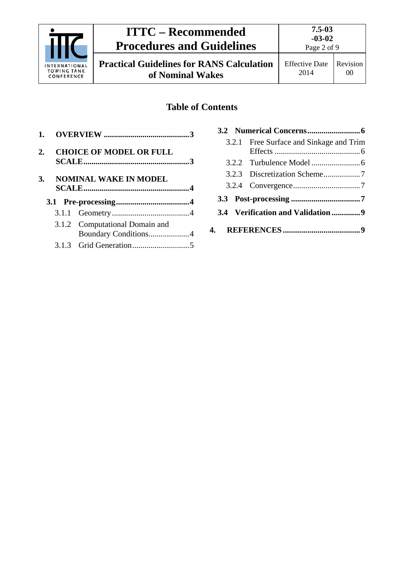

# **ITTC – Recommended Procedures and Guidelines**

Effective Date 2014 Revision 00

# **Table of Contents**

| 1. |                                                        |    |                                         |
|----|--------------------------------------------------------|----|-----------------------------------------|
|    |                                                        |    | 3.2.1 Free Surface and Sinkage and Trim |
| 2. | <b>CHOICE OF MODEL OR FULL</b>                         |    |                                         |
|    |                                                        |    |                                         |
| 3. | <b>NOMINAL WAKE IN MODEL</b>                           |    |                                         |
|    |                                                        |    |                                         |
|    |                                                        |    |                                         |
|    |                                                        |    |                                         |
|    | 3.1.2 Computational Domain and<br>Boundary Conditions4 | 4. |                                         |
|    |                                                        |    |                                         |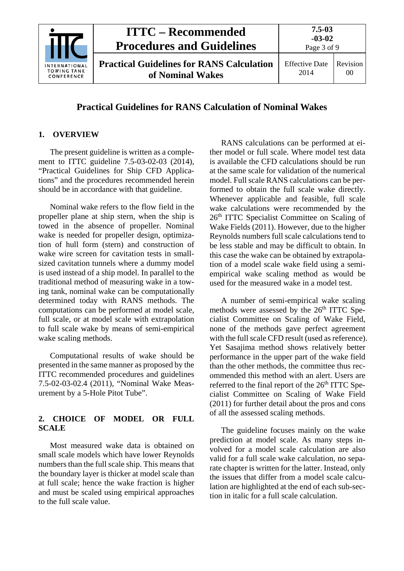

# **Practical Guidelines for RANS Calculation of Nominal Wakes**

### <span id="page-2-0"></span>**1. OVERVIEW**

The present guideline is written as a complement to ITTC guideline 7.5-03-02-03 (2014), "Practical Guidelines for Ship CFD Applications" and the procedures recommended herein should be in accordance with that guideline.

Nominal wake refers to the flow field in the propeller plane at ship stern, when the ship is towed in the absence of propeller. Nominal wake is needed for propeller design, optimization of hull form (stern) and construction of wake wire screen for cavitation tests in smallsized cavitation tunnels where a dummy model is used instead of a ship model. In parallel to the traditional method of measuring wake in a towing tank, nominal wake can be computationally determined today with RANS methods. The computations can be performed at model scale, full scale, or at model scale with extrapolation to full scale wake by means of semi-empirical wake scaling methods.

Computational results of wake should be presented in the same manner as proposed by the ITTC recommended procedures and guidelines 7.5-02-03-02.4 (2011), "Nominal Wake Measurement by a 5-Hole Pitot Tube".

## <span id="page-2-1"></span>**2. CHOICE OF MODEL OR FULL SCALE**

Most measured wake data is obtained on small scale models which have lower Reynolds numbers than the full scale ship. This means that the boundary layer is thicker at model scale than at full scale; hence the wake fraction is higher and must be scaled using empirical approaches to the full scale value.

RANS calculations can be performed at either model or full scale. Where model test data is available the CFD calculations should be run at the same scale for validation of the numerical model. Full scale RANS calculations can be performed to obtain the full scale wake directly. Whenever applicable and feasible, full scale wake calculations were recommended by the 26th ITTC Specialist Committee on Scaling of Wake Fields (2011). However, due to the higher Reynolds numbers full scale calculations tend to be less stable and may be difficult to obtain. In this case the wake can be obtained by extrapolation of a model scale wake field using a semiempirical wake scaling method as would be used for the measured wake in a model test.

A number of semi-empirical wake scaling methods were assessed by the 26<sup>th</sup> ITTC Specialist Committee on Scaling of Wake Field, none of the methods gave perfect agreement with the full scale CFD result (used as reference). Yet Sasajima method shows relatively better performance in the upper part of the wake field than the other methods, the committee thus recommended this method with an alert. Users are referred to the final report of the 26<sup>th</sup> ITTC Specialist Committee on Scaling of Wake Field (2011) for further detail about the pros and cons of all the assessed scaling methods.

The guideline focuses mainly on the wake prediction at model scale. As many steps involved for a model scale calculation are also valid for a full scale wake calculation, no separate chapter is written for the latter. Instead, only the issues that differ from a model scale calculation are highlighted at the end of each sub-section in italic for a full scale calculation.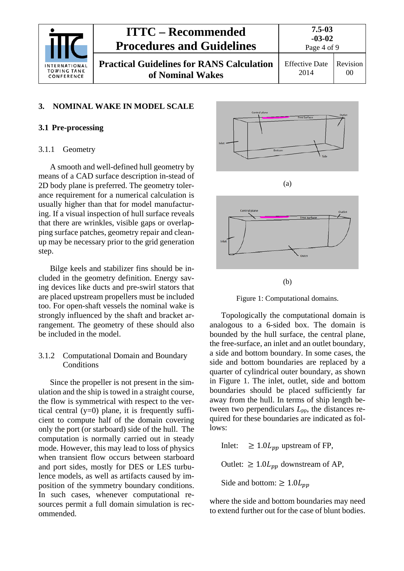|                                                   | <b>ITTC – Recommended</b><br><b>Procedures and Guidelines</b>        | $7.5 - 03$<br>$-03-02$<br>Page 4 of 9 |                |
|---------------------------------------------------|----------------------------------------------------------------------|---------------------------------------|----------------|
| INTERNATIONAL<br><b>TOWING TANK</b><br>CONFERENCE | <b>Practical Guidelines for RANS Calculation</b><br>of Nominal Wakes | <b>Effective Date</b><br>2014         | Revision<br>00 |

#### <span id="page-3-1"></span><span id="page-3-0"></span>**3. NOMINAL WAKE IN MODEL SCALE**

#### <span id="page-3-2"></span>**3.1 Pre-processing**

#### 3.1.1 Geometry

A smooth and well-defined hull geometry by means of a CAD surface description in-stead of 2D body plane is preferred. The geometry tolerance requirement for a numerical calculation is usually higher than that for model manufacturing. If a visual inspection of hull surface reveals that there are wrinkles, visible gaps or overlapping surface patches, geometry repair and cleanup may be necessary prior to the grid generation step.

Bilge keels and stabilizer fins should be included in the geometry definition. Energy saving devices like ducts and pre-swirl stators that are placed upstream propellers must be included too. For open-shaft vessels the nominal wake is strongly influenced by the shaft and bracket arrangement. The geometry of these should also be included in the model.

#### <span id="page-3-3"></span>3.1.2 Computational Domain and Boundary **Conditions**

Since the propeller is not present in the simulation and the ship is towed in a straight course, the flow is symmetrical with respect to the vertical central  $(y=0)$  plane, it is frequently sufficient to compute half of the domain covering only the port (or starboard) side of the hull. The computation is normally carried out in steady mode. However, this may lead to loss of physics when transient flow occurs between starboard and port sides, mostly for DES or LES turbulence models, as well as artifacts caused by imposition of the symmetry boundary conditions. In such cases, whenever computational resources permit a full domain simulation is recommended.



(b)

Figure 1: Computational domains.

<span id="page-3-4"></span>Topologically the computational domain is analogous to a 6-sided box. The domain is bounded by the hull surface, the central plane, the free-surface, an inlet and an outlet boundary, a side and bottom boundary. In some cases, the side and bottom boundaries are replaced by a quarter of cylindrical outer boundary, as shown in [Figure 1.](#page-3-4) The inlet, outlet, side and bottom boundaries should be placed sufficiently far away from the hull. In terms of ship length between two perpendiculars *L*pp, the distances required for these boundaries are indicated as follows:

Inlet:  $\geq 1.0 L_{pp}$  upstream of FP,

Outlet:  $\geq 1.0 L_{nn}$  downstream of AP,

Side and bottom:  $\geq 1.0L_{pp}$ 

where the side and bottom boundaries may need to extend further out for the case of blunt bodies.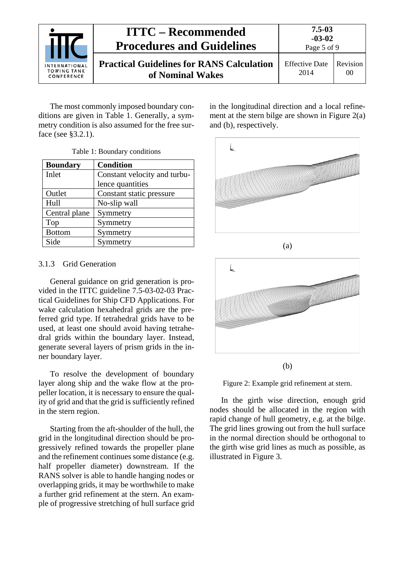|                                                          | <b>ITTC – Recommended</b><br><b>Procedures and Guidelines</b>        | $7.5 - 03$<br>$-03-02$<br>Page 5 of 9 |                |
|----------------------------------------------------------|----------------------------------------------------------------------|---------------------------------------|----------------|
| <b>INTERNATIONAL</b><br><b>TOWING TANK</b><br>CONFERENCE | <b>Practical Guidelines for RANS Calculation</b><br>of Nominal Wakes | <b>Effective Date</b><br>2014         | Revision<br>00 |

The most commonly imposed boundary conditions are given in [Table 1.](#page-4-1) Generally, a symmetry condition is also assumed for the free surface (see §3.2.1).

|  | Table 1: Boundary conditions |  |
|--|------------------------------|--|
|--|------------------------------|--|

<span id="page-4-1"></span>

| <b>Boundary</b> | <b>Condition</b>             |
|-----------------|------------------------------|
| Inlet           | Constant velocity and turbu- |
|                 | lence quantities             |
| Outlet          | Constant static pressure     |
| Hull            | No-slip wall                 |
| Central plane   | Symmetry                     |
| Top             | Symmetry                     |
| <b>Bottom</b>   | Symmetry                     |
| Side            | Symmetry                     |

#### <span id="page-4-0"></span>3.1.3 Grid Generation

General guidance on grid generation is provided in the ITTC guideline 7.5-03-02-03 Practical Guidelines for Ship CFD Applications. For wake calculation hexahedral grids are the preferred grid type. If tetrahedral grids have to be used, at least one should avoid having tetrahedral grids within the boundary layer. Instead, generate several layers of prism grids in the inner boundary layer.

To resolve the development of boundary layer along ship and the wake flow at the propeller location, it is necessary to ensure the quality of grid and that the grid is sufficiently refined in the stern region.

Starting from the aft-shoulder of the hull, the grid in the longitudinal direction should be progressively refined towards the propeller plane and the refinement continues some distance (e.g. half propeller diameter) downstream. If the RANS solver is able to handle hanging nodes or overlapping grids, it may be worthwhile to make a further grid refinement at the stern. An example of progressive stretching of hull surface grid in the longitudinal direction and a local refinement at the stern bilge are shown in Figure 2(a) and (b), respectively.



(a)



(b)

Figure 2: Example grid refinement at stern.

In the girth wise direction, enough grid nodes should be allocated in the region with rapid change of hull geometry, e.g. at the bilge. The grid lines growing out from the hull surface in the normal direction should be orthogonal to the girth wise grid lines as much as possible, as illustrated in Figure 3.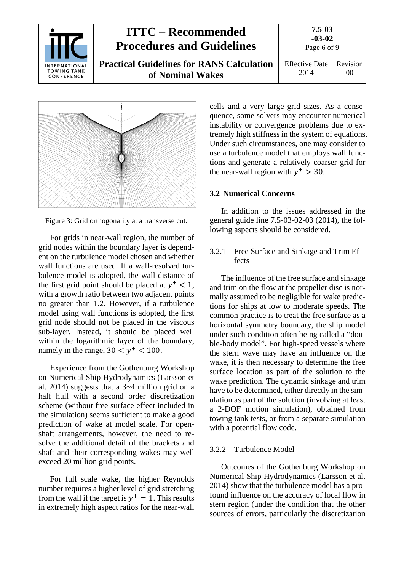





For grids in near-wall region, the number of grid nodes within the boundary layer is dependent on the turbulence model chosen and whether wall functions are used. If a wall-resolved turbulence model is adopted, the wall distance of the first grid point should be placed at  $y^+ < 1$ , with a growth ratio between two adjacent points no greater than 1.2. However, if a turbulence model using wall functions is adopted, the first grid node should not be placed in the viscous sub-layer. Instead, it should be placed well within the logarithmic layer of the boundary, namely in the range,  $30 < y^+ < 100$ .

Experience from the Gothenburg Workshop on Numerical Ship Hydrodynamics (Larsson et al. 2014) suggests that a 3~4 million grid on a half hull with a second order discretization scheme (without free surface effect included in the simulation) seems sufficient to make a good prediction of wake at model scale. For openshaft arrangements, however, the need to resolve the additional detail of the brackets and shaft and their corresponding wakes may well exceed 20 million grid points.

For full scale wake, the higher Reynolds number requires a higher level of grid stretching from the wall if the target is  $y^+ = 1$ . This results in extremely high aspect ratios for the near-wall

cells and a very large grid sizes. As a consequence, some solvers may encounter numerical instability or convergence problems due to extremely high stiffness in the system of equations. Under such circumstances, one may consider to use a turbulence model that employs wall functions and generate a relatively coarser grid for the near-wall region with  $y^+ > 30$ .

## <span id="page-5-0"></span>**3.2 Numerical Concerns**

In addition to the issues addressed in the general guide line 7.5-03-02-03 (2014), the following aspects should be considered.

<span id="page-5-1"></span>3.2.1 Free Surface and Sinkage and Trim Effects

The influence of the free surface and sinkage and trim on the flow at the propeller disc is normally assumed to be negligible for wake predictions for ships at low to moderate speeds. The common practice is to treat the free surface as a horizontal symmetry boundary, the ship model under such condition often being called a "double-body model". For high-speed vessels where the stern wave may have an influence on the wake, it is then necessary to determine the free surface location as part of the solution to the wake prediction. The dynamic sinkage and trim have to be determined, either directly in the simulation as part of the solution (involving at least a 2-DOF motion simulation), obtained from towing tank tests, or from a separate simulation with a potential flow code.

#### <span id="page-5-2"></span>3.2.2 Turbulence Model

Outcomes of the Gothenburg Workshop on Numerical Ship Hydrodynamics (Larsson et al. 2014) show that the turbulence model has a profound influence on the accuracy of local flow in stern region (under the condition that the other sources of errors, particularly the discretization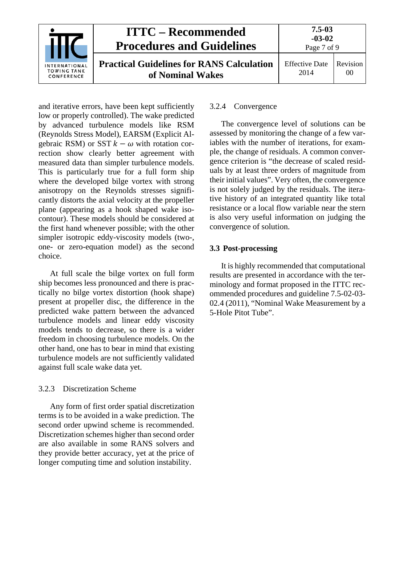|                                                   | <b>ITTC – Recommended</b><br><b>Procedures and Guidelines</b>        | $7.5 - 03$<br>$-03-02$<br>Page 7 of 9 |                |
|---------------------------------------------------|----------------------------------------------------------------------|---------------------------------------|----------------|
| INTERNATIONAL<br><b>TOWING TANK</b><br>CONFERENCE | <b>Practical Guidelines for RANS Calculation</b><br>of Nominal Wakes | <b>Effective Date</b><br>2014         | Revision<br>00 |

and iterative errors, have been kept sufficiently low or properly controlled). The wake predicted by advanced turbulence models like RSM (Reynolds Stress Model), EARSM (Explicit Algebraic RSM) or SST  $k - \omega$  with rotation correction show clearly better agreement with measured data than simpler turbulence models. This is particularly true for a full form ship where the developed bilge vortex with strong anisotropy on the Reynolds stresses significantly distorts the axial velocity at the propeller plane (appearing as a hook shaped wake isocontour). These models should be considered at the first hand whenever possible; with the other simpler isotropic eddy-viscosity models (two-, one- or zero-equation model) as the second choice.

At full scale the bilge vortex on full form ship becomes less pronounced and there is practically no bilge vortex distortion (hook shape) present at propeller disc, the difference in the predicted wake pattern between the advanced turbulence models and linear eddy viscosity models tends to decrease, so there is a wider freedom in choosing turbulence models. On the other hand, one has to bear in mind that existing turbulence models are not sufficiently validated against full scale wake data yet.

#### <span id="page-6-0"></span>3.2.3 Discretization Scheme

Any form of first order spatial discretization terms is to be avoided in a wake prediction. The second order upwind scheme is recommended. Discretization schemes higher than second order are also available in some RANS solvers and they provide better accuracy, yet at the price of longer computing time and solution instability.

#### <span id="page-6-1"></span>3.2.4 Convergence

The convergence level of solutions can be assessed by monitoring the change of a few variables with the number of iterations, for example, the change of residuals. A common convergence criterion is "the decrease of scaled residuals by at least three orders of magnitude from their initial values". Very often, the convergence is not solely judged by the residuals. The iterative history of an integrated quantity like total resistance or a local flow variable near the stern is also very useful information on judging the convergence of solution.

## <span id="page-6-2"></span>**3.3 Post-processing**

It is highly recommended that computational results are presented in accordance with the terminology and format proposed in the ITTC recommended procedures and guideline 7.5-02-03- 02.4 (2011), "Nominal Wake Measurement by a 5-Hole Pitot Tube".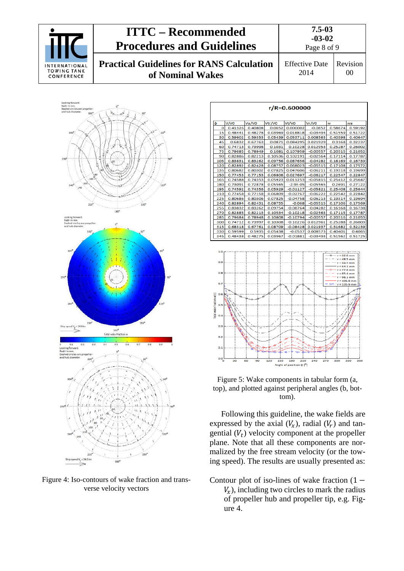



<span id="page-7-0"></span>Figure 4: Iso-contours of wake fraction and transverse velocity vectors

| r/R=0.600000                  |             |         |         |              |            |         |                                           |  |
|-------------------------------|-------------|---------|---------|--------------|------------|---------|-------------------------------------------|--|
| ф                             | V/VO        | Va/VO   | Vtr/VO  | Vt/VO        | Vr/VO      | w       | wa                                        |  |
| o                             | 0.41326     | 0.40808 | 0.0652  | 0.000002     | $-0.0652$  | 0.58674 | 0.59192                                   |  |
| 15                            | 0.48441     | 0.48278 | 0.03969 | 0.018818     | $-0.03494$ | 0.51559 | 0.51722                                   |  |
| 30                            | 0.59602     | 0.59353 | 0.05439 | 0.053711     | 0.008563   | 0.40398 | 0.40647                                   |  |
| 45                            | 0.6832      | 0.67763 | 0.0871  | 0.084295     | 0.021929   | 0.3168  | 0.32237                                   |  |
| 60                            | 0.74713     | 0.73998 | 0.1031  | 0.10228      | 0.012953   | 0.25287 | 0.26002                                   |  |
| 75                            | 0.79685     | 0.78949 | 0.1081  | 0.107959     | $-0.00557$ | 0.20315 | 0.21052                                   |  |
| 90                            | 0.82886     | 0.82213 | 0.10536 | 0.102191     | $-0.02564$ | 0.17114 | 0.17787                                   |  |
| 105                           | 0.83831     | 0.83262 | 0.09756 | 0.087656     | $-0.04282$ | 0.16169 | 0.16739                                   |  |
| 120                           | 0.82892     | 0.82428 | 0.08757 | 0.068023     | $-0.05515$ | 0.17108 | 0.17572                                   |  |
| 135                           | 0.80682     | 0.80302 | 0.07825 | 0.047606     | $-0.06211$ | 0.19318 | 0.19699                                   |  |
| 150                           | 0.77453     | 0.77153 | 0.06806 | 0.027697     | $-0.06217$ | 0.22547 | 0.22847                                   |  |
| 165                           | 0.74588     | 0.74353 | 0.05923 | 0.011253     | $-0.05815$ | 0.25412 | 0.25647                                   |  |
| 180                           | 0.73091     | 0.72878 | 0.05565 | $-2.9E - 05$ | $-0.05565$ | 0.2691  | 0.27122                                   |  |
| 195                           | 0.74592     | 0.74356 | 0.05929 | $-0.01127$   | $-0.05821$ | 0.25408 | 0.25644                                   |  |
| 210                           | 0.77458     | 0.77158 | 0.06809 | $-0.02767$   | $-0.06222$ | 0.22542 | 0.22842                                   |  |
| 225                           | 0.80686     | 0.80306 | 0.07825 | $-0.04758$   | $-0.06213$ | 0.19314 | 0.19694                                   |  |
| 240                           | 0.82894     | 0.82431 | 0.08755 | $-0.068$     | $-0.05515$ | 0.17106 | 0.17569                                   |  |
| 255                           | 0.83832     | 0.83262 | 0.09754 | $-0.08764$   | $-0.04282$ | 0.16168 | 0.16738                                   |  |
| 270                           | 0.82885     | 0.82213 | 0.10534 | $-0.10218$   | $-0.02563$ | 0.17115 | 0.17787                                   |  |
| 285                           | 0.79684     | 0.78948 | 0.10808 | $-0.10794$   | $-0.00557$ | 0.20316 | 0.21053                                   |  |
| 300                           | 0.74712     | 0.73997 | 0.10308 | $-0.10226$   | 0.012961   | 0.25288 | 0.26003                                   |  |
| 315                           | 0.68318     | 0.67761 | 0.08709 | $-0.08428$   | 0.021937   | 0.31682 | 0.32239                                   |  |
| 330                           | 0.59599     | 0.5935  | 0.05438 | $-0.0537$    | 0.008573   | 0.40401 | 0.4065                                    |  |
| 345                           | 0.48438     | 0.48275 | 0.03967 | $-0.01881$   | $-0.03493$ | 0.51562 | 0.51725                                   |  |
| 1.0                           | $= 32.0$ mm |         |         |              |            |         |                                           |  |
| 0.9                           |             |         |         |              |            |         | 48.5 mm<br>53.4 mm<br>$4.1$ mm<br>77.6 mm |  |
| 0.8                           |             |         |         |              |            |         | 85.4 mm<br>96.1 mm<br>106.8 mm            |  |
| 0.7<br>O.6                    |             |         |         |              |            |         | 135.9 mm                                  |  |
| etal wake fraction w/-<br>0.5 |             |         |         |              |            |         |                                           |  |
| 0.4<br>0.3                    |             |         |         |              |            |         |                                           |  |
| 0.2                           |             |         |         |              |            |         |                                           |  |

<span id="page-7-1"></span>Figure 5: Wake components in tabular form (a, top), and plotted against peripheral angles (b, bottom).

Angle of position **ó** l<sup>o</sup>l

Following this guideline, the wake fields are expressed by the axial  $(V_x)$ , radial  $(V_r)$  and tangential  $(V_t)$  velocity component at the propeller plane. Note that all these components are normalized by the free stream velocity (or the towing speed). The results are usually presented as:

Contour plot of iso-lines of wake fraction  $(1 V_r$ ), including two circles to mark the radius of propeller hub and propeller tip, e.g. [Fig](#page-7-0)[ure 4.](#page-7-0)